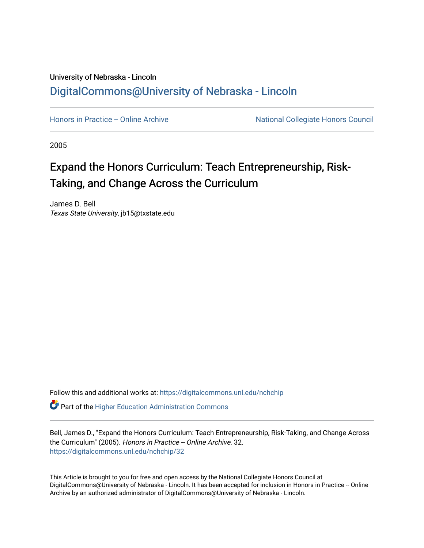## University of Nebraska - Lincoln [DigitalCommons@University of Nebraska - Lincoln](https://digitalcommons.unl.edu/)

[Honors in Practice -- Online Archive](https://digitalcommons.unl.edu/nchchip) National Collegiate Honors Council

2005

# Expand the Honors Curriculum: Teach Entrepreneurship, Risk-Taking, and Change Across the Curriculum

James D. Bell Texas State University, jb15@txstate.edu

Follow this and additional works at: [https://digitalcommons.unl.edu/nchchip](https://digitalcommons.unl.edu/nchchip?utm_source=digitalcommons.unl.edu%2Fnchchip%2F32&utm_medium=PDF&utm_campaign=PDFCoverPages) 

**C** Part of the Higher Education Administration Commons

Bell, James D., "Expand the Honors Curriculum: Teach Entrepreneurship, Risk-Taking, and Change Across the Curriculum" (2005). Honors in Practice -- Online Archive. 32. [https://digitalcommons.unl.edu/nchchip/32](https://digitalcommons.unl.edu/nchchip/32?utm_source=digitalcommons.unl.edu%2Fnchchip%2F32&utm_medium=PDF&utm_campaign=PDFCoverPages) 

This Article is brought to you for free and open access by the National Collegiate Honors Council at DigitalCommons@University of Nebraska - Lincoln. It has been accepted for inclusion in Honors in Practice -- Online Archive by an authorized administrator of DigitalCommons@University of Nebraska - Lincoln.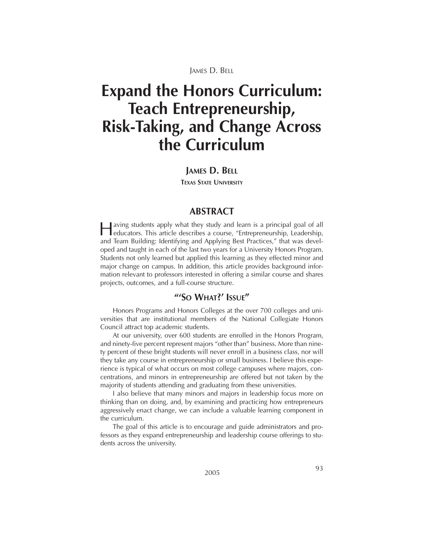JAMES D. BELL

# **Expand the Honors Curriculum: Teach Entrepreneurship, Risk-Taking, and Change Across the Curriculum**

#### **JAMES D. BELL**

**TEXAS STATE UNIVERSITY**

### **ABSTRACT**

Having students apply what they study and learn is a principal goal of all educators. This article describes a course, "Entrepreneurship, Leadership, and Team Building: Identifying and Applying Best Practices," that was developed and taught in each of the last two years for a University Honors Program. Students not only learned but applied this learning as they effected minor and major change on campus. In addition, this article provides background information relevant to professors interested in offering a similar course and shares projects, outcomes, and a full-course structure.

#### **"'SO WHAT?' ISSUE"**

Honors Programs and Honors Colleges at the over 700 colleges and universities that are institutional members of the National Collegiate Honors Council attract top academic students.

At our university, over 600 students are enrolled in the Honors Program, and ninety-five percent represent majors "other than" business. More than ninety percent of these bright students will never enroll in a business class, nor will they take any course in entrepreneurship or small business. I believe this experience is typical of what occurs on most college campuses where majors, concentrations, and minors in entrepreneurship are offered but not taken by the majority of students attending and graduating from these universities.

I also believe that many minors and majors in leadership focus more on thinking than on doing, and, by examining and practicing how entrepreneurs aggressively enact change, we can include a valuable learning component in the curriculum.

The goal of this article is to encourage and guide administrators and professors as they expand entrepreneurship and leadership course offerings to students across the university.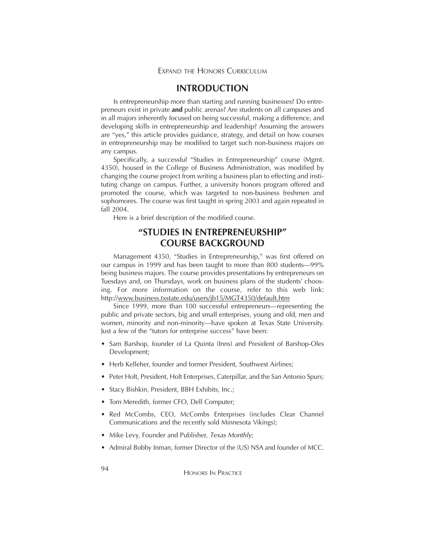### **INTRODUCTION**

Is entrepreneurship more than starting and running businesses? Do entrepreneurs exist in private **and** public arenas? Are students on all campuses and in all majors inherently focused on being successful, making a difference, and developing skills in entrepreneurship and leadership? Assuming the answers are "yes," this article provides guidance, strategy, and detail on how courses in entrepreneurship may be modified to target such non-business majors on any campus.

Specifically, a successful "Studies in Entrepreneurship" course (Mgmt. 4350), housed in the College of Business Administration, was modified by changing the course project from writing a business plan to effecting and instituting change on campus. Further, a university honors program offered and promoted the course, which was targeted to non-business freshmen and sophomores. The course was first taught in spring 2003 and again repeated in fall 2004.

Here is a brief description of the modified course.

### **"STUDIES IN ENTREPRENEURSHIP" COURSE BACKGROUND**

Management 4350, "Studies in Entrepreneurship," was first offered on our campus in 1999 and has been taught to more than 800 students—99% being business majors. The course provides presentations by entrepreneurs on Tuesdays and, on Thursdays, work on business plans of the students' choosing. For more information on the course, refer to this web link: http://www.business.txstate.edu/users/jb15/MGT4350/default.htm

Since 1999, more than 100 successful entrepreneurs—representing the public and private sectors, big and small enterprises, young and old, men and women, minority and non-minority—have spoken at Texas State University. Just a few of the "tutors for enterprise success" have been:

- Sam Barshop, founder of La Quinta (Inns) and President of Barshop-Oles Development;
- Herb Kelleher, founder and former President, Southwest Airlines;
- Peter Holt, President, Holt Enterprises, Caterpillar, and the San Antonio Spurs;
- Stacy Bishkin, President, BBH Exhibits, Inc.;
- Tom Meredith, former CFO, Dell Computer;
- Red McCombs, CEO, McCombs Enterprises (includes Clear Channel Communications and the recently sold Minnesota Vikings);
- Mike Levy, Founder and Publisher, *Texas Monthly*;
- Admiral Bobby Inman, former Director of the (US) NSA and founder of MCC.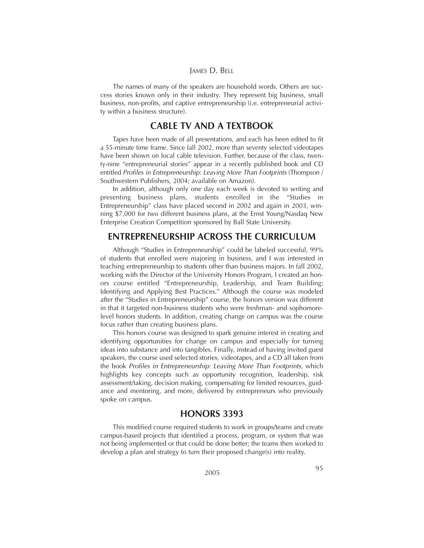#### JAMES D. BELL

The names of many of the speakers are household words. Others are success stories known only in their industry. They represent big business, small business, non-profits, and captive entrepreneurship (i.e. entrepreneurial activity within a business structure).

### **CABLE TV AND A TEXTBOOK**

Tapes have been made of all presentations, and each has been edited to fit a 55-minute time frame. Since fall 2002, more than seventy selected videotapes have been shown on local cable television. Further, because of the class, twenty-nine "entrepreneurial stories" appear in a recently published book and CD entitled *Profiles in Entrepreneurship: Leaving More Than Footprints* (Thompson / Southwestern Publishers, 2004; available on Amazon).

In addition, although only one day each week is devoted to writing and presenting business plans, students enrolled in the "Studies in Entrepreneurship" class have placed second in 2002 and again in 2003, winning \$7,000 for two different business plans, at the Ernst Young/Nasdaq New Enterprise Creation Competition sponsored by Ball State University.

### **ENTREPRENEURSHIP ACROSS THE CURRICULUM**

Although "Studies in Entrepreneurship" could be labeled successful, 99% of students that enrolled were majoring in business, and I was interested in teaching entrepreneurship to students other than business majors. In fall 2002, working with the Director of the University Honors Program, I created an honors course entitled "Entrepreneurship, Leadership, and Team Building: Identifying and Applying Best Practices." Although the course was modeled after the "Studies in Entrepreneurship" course, the honors version was different in that it targeted non-business students who were freshman- and sophomorelevel honors students. In addition, creating change on campus was the course focus rather than creating business plans.

This honors course was designed to spark genuine interest in creating and identifying opportunities for change on campus and especially for turning ideas into substance and into tangibles. Finally, instead of having invited guest speakers, the course used selected stories, videotapes, and a CD all taken from the book *Profiles in Entrepreneurship: Leaving More Than Footprints*, which highlights key concepts such as opportunity recognition, leadership, risk assessment/taking, decision making, compensating for limited resources, guidance and mentoring, and more, delivered by entrepreneurs who previously spoke on campus.

#### **HONORS 3393**

This modified course required students to work in groups/teams and create campus-based projects that identified a process, program, or system that was not being implemented or that could be done better; the teams then worked to develop a plan and strategy to turn their proposed change(s) into reality.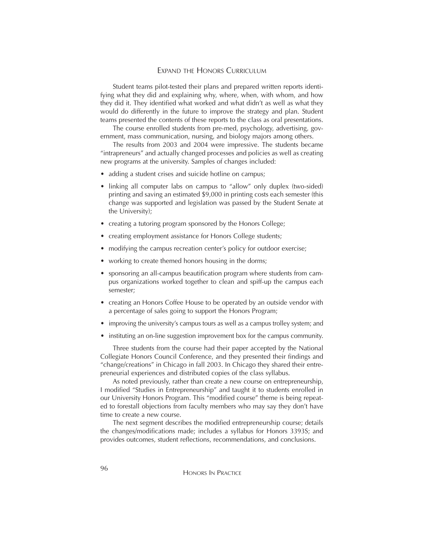#### EXPAND THE HONORS CURRICULUM

Student teams pilot-tested their plans and prepared written reports identifying what they did and explaining why, where, when, with whom, and how they did it. They identified what worked and what didn't as well as what they would do differently in the future to improve the strategy and plan. Student teams presented the contents of these reports to the class as oral presentations.

The course enrolled students from pre-med, psychology, advertising, government, mass communication, nursing, and biology majors among others.

The results from 2003 and 2004 were impressive. The students became "intrapreneurs" and actually changed processes and policies as well as creating new programs at the university. Samples of changes included:

- adding a student crises and suicide hotline on campus;
- linking all computer labs on campus to "allow" only duplex (two-sided) printing and saving an estimated \$9,000 in printing costs each semester (this change was supported and legislation was passed by the Student Senate at the University);
- creating a tutoring program sponsored by the Honors College;
- creating employment assistance for Honors College students;
- modifying the campus recreation center's policy for outdoor exercise;
- working to create themed honors housing in the dorms;
- sponsoring an all-campus beautification program where students from campus organizations worked together to clean and spiff-up the campus each semester;
- creating an Honors Coffee House to be operated by an outside vendor with a percentage of sales going to support the Honors Program;
- improving the university's campus tours as well as a campus trolley system; and
- instituting an on-line suggestion improvement box for the campus community.

Three students from the course had their paper accepted by the National Collegiate Honors Council Conference, and they presented their findings and "change/creations" in Chicago in fall 2003. In Chicago they shared their entrepreneurial experiences and distributed copies of the class syllabus.

As noted previously, rather than create a new course on entrepreneurship, I modified "Studies in Entrepreneurship" and taught it to students enrolled in our University Honors Program. This "modified course" theme is being repeated to forestall objections from faculty members who may say they don't have time to create a new course.

The next segment describes the modified entrepreneurship course; details the changes/modifications made; includes a syllabus for Honors 3393S; and provides outcomes, student reflections, recommendations, and conclusions.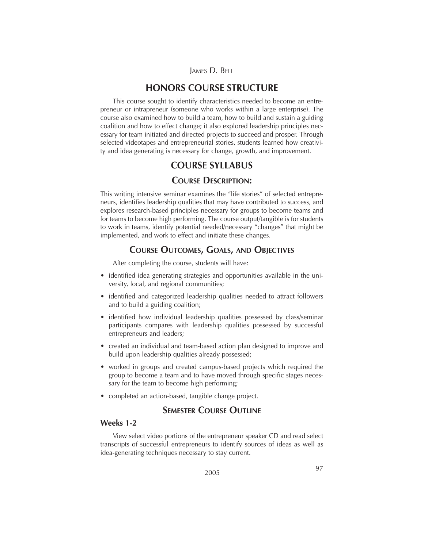### **HONORS COURSE STRUCTURE**

This course sought to identify characteristics needed to become an entrepreneur or intrapreneur (someone who works within a large enterprise). The course also examined how to build a team, how to build and sustain a guiding coalition and how to effect change; it also explored leadership principles necessary for team initiated and directed projects to succeed and prosper. Through selected videotapes and entrepreneurial stories, students learned how creativity and idea generating is necessary for change, growth, and improvement.

### **COURSE SYLLABUS**

### **COURSE DESCRIPTION:**

This writing intensive seminar examines the "life stories" of selected entrepreneurs, identifies leadership qualities that may have contributed to success, and explores research-based principles necessary for groups to become teams and for teams to become high performing. The course output/tangible is for students to work in teams, identify potential needed/necessary "changes" that might be implemented, and work to effect and initiate these changes.

### **COURSE OUTCOMES, GOALS, AND OBJECTIVES**

After completing the course, students will have:

- identified idea generating strategies and opportunities available in the university, local, and regional communities;
- identified and categorized leadership qualities needed to attract followers and to build a guiding coalition;
- identified how individual leadership qualities possessed by class/seminar participants compares with leadership qualities possessed by successful entrepreneurs and leaders;
- created an individual and team-based action plan designed to improve and build upon leadership qualities already possessed;
- worked in groups and created campus-based projects which required the group to become a team and to have moved through specific stages necessary for the team to become high performing;
- completed an action-based, tangible change project.

### **SEMESTER COURSE OUTLINE**

#### **Weeks 1-2**

View select video portions of the entrepreneur speaker CD and read select transcripts of successful entrepreneurs to identify sources of ideas as well as idea-generating techniques necessary to stay current.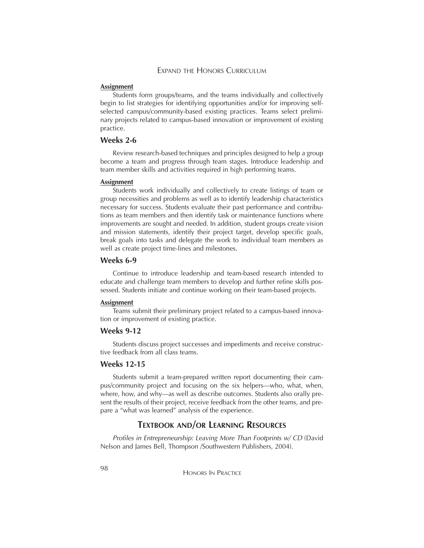#### EXPAND THE HONORS CURRICULUM

#### **Assignment**

Students form groups/teams, and the teams individually and collectively begin to list strategies for identifying opportunities and/or for improving selfselected campus/community-based existing practices. Teams select preliminary projects related to campus-based innovation or improvement of existing practice.

#### **Weeks 2-6**

Review research-based techniques and principles designed to help a group become a team and progress through team stages. Introduce leadership and team member skills and activities required in high performing teams.

#### **Assignment**

Students work individually and collectively to create listings of team or group necessities and problems as well as to identify leadership characteristics necessary for success. Students evaluate their past performance and contributions as team members and then identify task or maintenance functions where improvements are sought and needed. In addition, student groups create vision and mission statements, identify their project target, develop specific goals, break goals into tasks and delegate the work to individual team members as well as create project time-lines and milestones.

#### **Weeks 6-9**

Continue to introduce leadership and team-based research intended to educate and challenge team members to develop and further refine skills possessed. Students initiate and continue working on their team-based projects.

#### **Assignment**

Teams submit their preliminary project related to a campus-based innovation or improvement of existing practice.

#### **Weeks 9-12**

Students discuss project successes and impediments and receive constructive feedback from all class teams.

### **Weeks 12-15**

Students submit a team-prepared written report documenting their campus/community project and focusing on the six helpers—who, what, when, where, how, and why—as well as describe outcomes. Students also orally present the results of their project, receive feedback from the other teams, and prepare a "what was learned" analysis of the experience.

### **TEXTBOOK AND/OR LEARNING RESOURCES**

*Profiles in Entrepreneurship: Leaving More Than Footprints w/ CD* (David Nelson and James Bell, Thompson /Southwestern Publishers, 2004).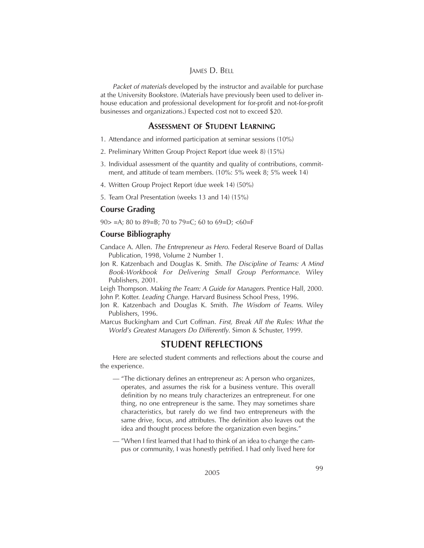#### JAMES D. BELL

*Packet of materials* developed by the instructor and available for purchase at the University Bookstore. (Materials have previously been used to deliver inhouse education and professional development for for-profit and not-for-profit businesses and organizations.) Expected cost not to exceed \$20.

### **ASSESSMENT OF STUDENT LEARNING**

- 1. Attendance and informed participation at seminar sessions (10%)
- 2. Preliminary Written Group Project Report (due week 8) (15%)
- 3. Individual assessment of the quantity and quality of contributions, commitment, and attitude of team members. (10%: 5% week 8; 5% week 14)
- 4. Written Group Project Report (due week 14) (50%)
- 5. Team Oral Presentation (weeks 13 and 14) (15%)

### **Course Grading**

90 $>$  =A; 80 to 89=B; 70 to 79=C; 60 to 69=D; <60=F

### **Course Bibliography**

Candace A. Allen. *The Entrepreneur as Hero*. Federal Reserve Board of Dallas Publication, 1998, Volume 2 Number 1.

Jon R. Katzenbach and Douglas K. Smith. *The Discipline of Teams: A Mind Book-Workbook For Delivering Small Group Performance*. Wiley Publishers, 2001.

Leigh Thompson. *Making the Team: A Guide for Managers*. Prentice Hall, 2000. John P. Kotter. *Leading Change*. Harvard Business School Press, 1996.

- Jon R. Katzenbach and Douglas K. Smith. *The Wisdom of Teams*. Wiley Publishers, 1996.
- Marcus Buckingham and Curt Coffman. *First, Break All the Rules: What the World's Greatest Managers Do Differently*. Simon & Schuster, 1999.

### **STUDENT REFLECTIONS**

Here are selected student comments and reflections about the course and the experience.

- "The dictionary defines an entrepreneur as: A person who organizes, operates, and assumes the risk for a business venture. This overall definition by no means truly characterizes an entrepreneur. For one thing, no one entrepreneur is the same. They may sometimes share characteristics, but rarely do we find two entrepreneurs with the same drive, focus, and attributes. The definition also leaves out the idea and thought process before the organization even begins."
- "When I first learned that I had to think of an idea to change the campus or community, I was honestly petrified. I had only lived here for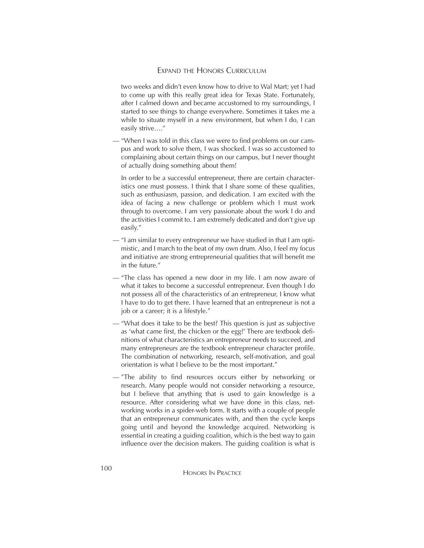#### EXPAND THE HONORS CURRICULUM

two weeks and didn't even know how to drive to Wal Mart; yet I had to come up with this really great idea for Texas State. Fortunately, after I calmed down and became accustomed to my surroundings, I started to see things to change everywhere. Sometimes it takes me a while to situate myself in a new environment, but when I do, I can easily strive…."

— "When I was told in this class we were to find problems on our campus and work to solve them, I was shocked. I was so accustomed to complaining about certain things on our campus, but I never thought of actually doing something about them!

In order to be a successful entrepreneur, there are certain characteristics one must possess. I think that I share some of these qualities, such as enthusiasm, passion, and dedication. I am excited with the idea of facing a new challenge or problem which I must work through to overcome. I am very passionate about the work I do and the activities I commit to. I am extremely dedicated and don't give up easily."

- "I am similar to every entrepreneur we have studied in that I am optimistic, and I march to the beat of my own drum. Also, I feel my focus and initiative are strong entrepreneurial qualities that will benefit me in the future."
- "The class has opened a new door in my life. I am now aware of what it takes to become a successful entrepreneur. Even though I do not possess all of the characteristics of an entrepreneur, I know what I have to do to get there. I have learned that an entrepreneur is not a job or a career; it is a lifestyle."
- "What does it take to be the best? This question is just as subjective as 'what came first, the chicken or the egg?' There are textbook definitions of what characteristics an entrepreneur needs to succeed, and many entrepreneurs are the textbook entrepreneur character profile. The combination of networking, research, self-motivation, and goal orientation is what I believe to be the most important."
- "The ability to find resources occurs either by networking or research. Many people would not consider networking a resource, but I believe that anything that is used to gain knowledge is a resource. After considering what we have done in this class, networking works in a spider-web form. It starts with a couple of people that an entrepreneur communicates with, and then the cycle keeps going until and beyond the knowledge acquired. Networking is essential in creating a guiding coalition, which is the best way to gain influence over the decision makers. The guiding coalition is what is